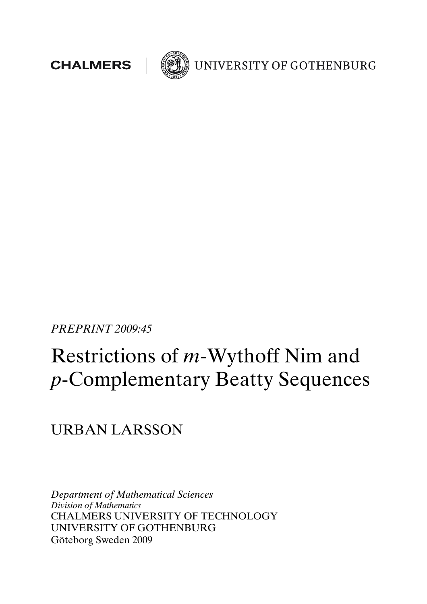



UNIVERSITY OF GOTHENBURG

PREPRINT 2009:45

# Restrictions of m-Wythoff Nim and p-Complementary Beatty Sequences

URBAN LARSSON

Department of Mathematical Sciences Division of Mathematics CHALMERS UNIVERSITY OF TECHNOLOGY UNIVERSITY OF GOTHENBURG Göteborg Sweden 2009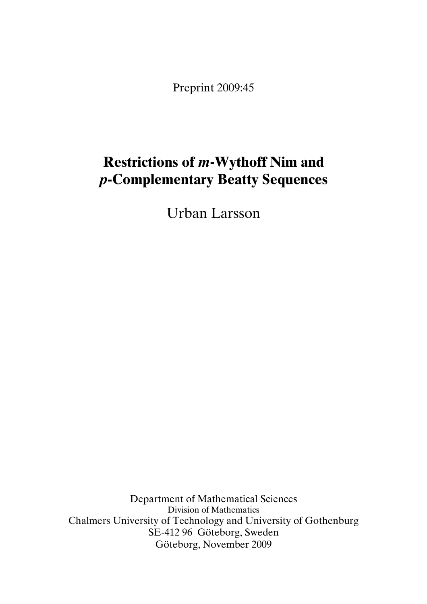Preprint 2009:45

# Restrictions of m-Wythoff Nim and p-Complementary Beatty Sequences

Urban Larsson

Department of Mathematical Sciences Division of Mathematics Chalmers University of Technology and University of Gothenburg SE-412 96 Göteborg, Sweden Göteborg, November 2009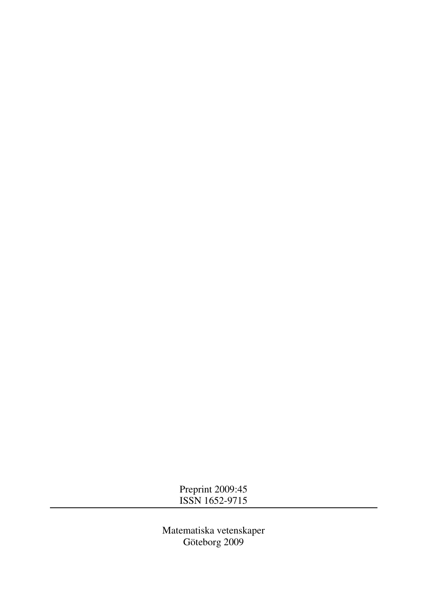Preprint 2009:45 ISSN 1652-9715

Matematiska vetenskaper Göteborg 2009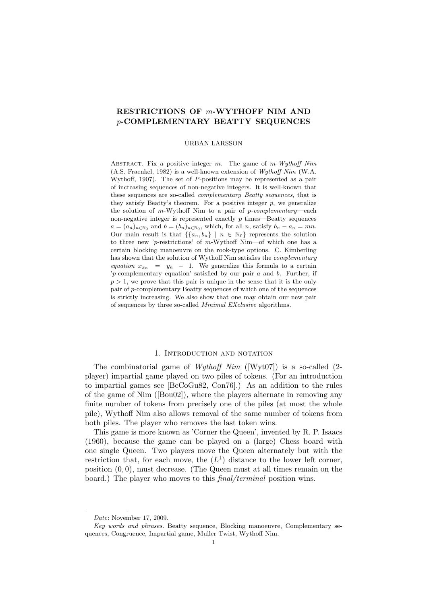# RESTRICTIONS OF m-WYTHOFF NIM AND p-COMPLEMENTARY BEATTY SEQUENCES

#### URBAN LARSSON

ABSTRACT. Fix a positive integer  $m$ . The game of  $m$ -Wythoff Nim (A.S. Fraenkel, 1982) is a well-known extension of Wythoff Nim (W.A. Wythoff, 1907). The set of  $P$ -positions may be represented as a pair of increasing sequences of non-negative integers. It is well-known that these sequences are so-called *complementary Beatty sequences*, that is they satisfy Beatty's theorem. For a positive integer  $p$ , we generalize the solution of m-Wythoff Nim to a pair of  $p$ -complementary—each non-negative integer is represented exactly  $p$  times—Beatty sequences  $a = (a_n)_{n \in \mathbb{N}_0}$  and  $b = (b_n)_{n \in \mathbb{N}_0}$ , which, for all n, satisfy  $b_n - a_n = mn$ . Our main result is that  $\{\{a_n, b_n\} \mid n \in \mathbb{N}_0\}$  represents the solution to three new 'p-restrictions' of m-Wythoff Nim—of which one has a certain blocking manoeuvre on the rook-type options. C. Kimberling has shown that the solution of Wythoff Nim satisfies the *complementary* equation  $x_{x_n} = y_n - 1$ . We generalize this formula to a certain  $'p$ -complementary equation' satisfied by our pair  $a$  and  $b$ . Further, if  $p > 1$ , we prove that this pair is unique in the sense that it is the only pair of p-complementary Beatty sequences of which one of the sequences is strictly increasing. We also show that one may obtain our new pair of sequences by three so-called Minimal EXclusive algorithms.

#### 1. INTRODUCTION AND NOTATION

The combinatorial game of *Wythoff Nim* ([Wyt07]) is a so-called  $(2$ player) impartial game played on two piles of tokens. (For an introduction to impartial games see [BeCoGu82, Con76].) As an addition to the rules of the game of Nim ([Bou02]), where the players alternate in removing any finite number of tokens from precisely one of the piles (at most the whole pile), Wythoff Nim also allows removal of the same number of tokens from both piles. The player who removes the last token wins.

This game is more known as 'Corner the Queen', invented by R. P. Isaacs (1960), because the game can be played on a (large) Chess board with one single Queen. Two players move the Queen alternately but with the restriction that, for each move, the  $(L<sup>1</sup>)$  distance to the lower left corner, position  $(0, 0)$ , must decrease. (The Queen must at all times remain on the board.) The player who moves to this *final/terminal* position wins.

Date: November 17, 2009.

Key words and phrases. Beatty sequence, Blocking manoeuvre, Complementary sequences, Congruence, Impartial game, Muller Twist, Wythoff Nim.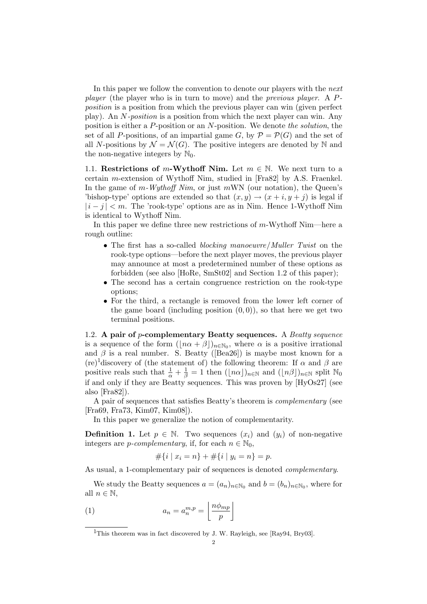In this paper we follow the convention to denote our players with the next player (the player who is in turn to move) and the previous player. A Pposition is a position from which the previous player can win (given perfect play). An N-position is a position from which the next player can win. Any position is either a P-position or an N-position. We denote the solution, the set of all P-positions, of an impartial game G, by  $P = \mathcal{P}(G)$  and the set of all N-positions by  $\mathcal{N} = \mathcal{N}(G)$ . The positive integers are denoted by N and the non-negative integers by  $\mathbb{N}_0$ .

1.1. Restrictions of m-Wythoff Nim. Let  $m \in \mathbb{N}$ . We next turn to a certain m-extension of Wythoff Nim, studied in [Fra82] by A.S. Fraenkel. In the game of  $m$ -Wythoff Nim, or just  $m$ WN (our notation), the Queen's 'bishop-type' options are extended so that  $(x, y) \rightarrow (x + i, y + j)$  is legal if  $|i-j| < m$ . The 'rook-type' options are as in Nim. Hence 1-Wythoff Nim is identical to Wythoff Nim.

In this paper we define three new restrictions of m-Wythoff Nim—here a rough outline:

- The first has a so-called *blocking manoeuvre*/*Muller Twist* on the rook-type options—before the next player moves, the previous player may announce at most a predetermined number of these options as forbidden (see also [HoRe, SmSt02] and Section 1.2 of this paper);
- The second has a certain congruence restriction on the rook-type options;
- For the third, a rectangle is removed from the lower left corner of the game board (including position  $(0, 0)$ ), so that here we get two terminal positions.

1.2. A pair of p-complementary Beatty sequences. A Beatty sequence is a sequence of the form  $(\lfloor n\alpha + \beta \rfloor)_{n \in \mathbb{N}_0}$ , where  $\alpha$  is a positive irrational and  $\beta$  is a real number. S. Beatty ([Bea26]) is maybe most known for a (re)<sup>1</sup>discovery of (the statement of) the following theorem: If  $\alpha$  and  $\beta$  are positive reals such that  $\frac{1}{\alpha} + \frac{1}{\beta} = 1$  then  $(\lfloor n\alpha \rfloor)_{n \in \mathbb{N}}$  and  $(\lfloor n\beta \rfloor)_{n \in \mathbb{N}}$  split  $\mathbb{N}_0$ if and only if they are Beatty sequences. This was proven by [HyOs27] (see also [Fra82]).

A pair of sequences that satisfies Beatty's theorem is complementary (see [Fra69, Fra73, Kim07, Kim08]).

In this paper we generalize the notion of complementarity.

**Definition 1.** Let  $p \in \mathbb{N}$ . Two sequences  $(x_i)$  and  $(y_i)$  of non-negative integers are *p-complementary*, if, for each  $n \in \mathbb{N}_0$ ,

$$
#\{i \mid x_i = n\} + #\{i \mid y_i = n\} = p.
$$

As usual, a 1-complementary pair of sequences is denoted complementary.

We study the Beatty sequences  $a = (a_n)_{n \in \mathbb{N}_0}$  and  $b = (b_n)_{n \in \mathbb{N}_0}$ , where for all  $n \in \mathbb{N}$ , l. º

$$
(1) \t\t\t a_n = a_n^{m,p} = \left\lfloor \frac{n\phi_{mp}}{p} \right\rfloor
$$

<sup>&</sup>lt;sup>1</sup>This theorem was in fact discovered by J. W. Rayleigh, see [Ray94, Bry03].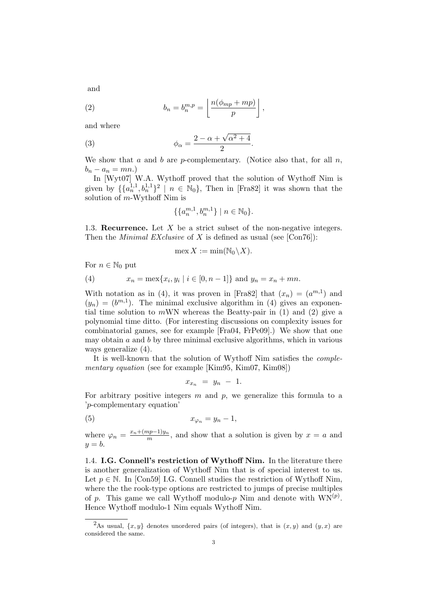and

(2) 
$$
b_n = b_n^{m,p} = \left\lfloor \frac{n(\phi_{mp} + mp)}{p} \right\rfloor,
$$

and where

(3) 
$$
\phi_{\alpha} = \frac{2 - \alpha + \sqrt{\alpha^2 + 4}}{2}.
$$

We show that a and b are p-complementary. (Notice also that, for all  $n$ ,  $b_n - a_n = mn.$ 

In [Wyt07] W.A. Wythoff proved that the solution of Wythoff Nim is given by  $\{\{a_n^{1,1}, b_n^{1,1}\}^2 \mid n \in \mathbb{N}_0\}$ , Then in [Fra82] it was shown that the solution of  $m$ -Wythoff Nim is

$$
\{\{a_n^{m,1},b_n^{m,1}\}\mid n\in\mathbb{N}_0\}.
$$

1.3. Recurrence. Let  $X$  be a strict subset of the non-negative integers. Then the *Minimal EXclusive* of X is defined as usual (see [Con76]):

$$
\max X := \min(\mathbb{N}_0 \backslash X).
$$

For  $n \in \mathbb{N}_0$  put

(4) 
$$
x_n = \max\{x_i, y_i \mid i \in [0, n-1]\}\
$$
and  $y_n = x_n + mn$ .

With notation as in (4), it was proven in [Fra82] that  $(x_n) = (a^{m,1})$  and  $(y_n) = (b^{m,1})$ . The minimal exclusive algorithm in (4) gives an exponential time solution to  $m$ WN whereas the Beatty-pair in (1) and (2) give a polynomial time ditto. (For interesting discussions on complexity issues for combinatorial games, see for example [Fra04, FrPe09].) We show that one may obtain  $a$  and  $b$  by three minimal exclusive algorithms, which in various ways generalize (4).

It is well-known that the solution of Wythoff Nim satisfies the complementary equation (see for example [Kim95, Kim07, Kim08])

$$
x_{x_n} = y_n - 1.
$$

For arbitrary positive integers  $m$  and  $p$ , we generalize this formula to a 'p-complementary equation'

$$
(5) \t\t x_{\varphi_n} = y_n - 1,
$$

where  $\varphi_n = \frac{x_n + (mp-1)y_n}{m}$  $\frac{np-1}{m}$ , and show that a solution is given by  $x = a$  and  $y = b$ .

1.4. I.G. Connell's restriction of Wythoff Nim. In the literature there is another generalization of Wythoff Nim that is of special interest to us. Let  $p \in \mathbb{N}$ . In [Con59] I.G. Connell studies the restriction of Wythoff Nim, where the the rook-type options are restricted to jumps of precise multiples of p. This game we call Wythoff modulo-p Nim and denote with  $WN^{(p)}$ . Hence Wythoff modulo-1 Nim equals Wythoff Nim.

<sup>&</sup>lt;sup>2</sup>As usual,  $\{x, y\}$  denotes unordered pairs (of integers), that is  $(x, y)$  and  $(y, x)$  are considered the same.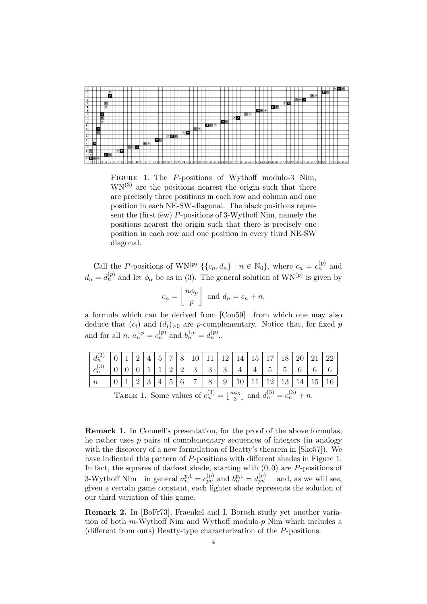

FIGURE 1. The P-positions of Wythoff modulo-3 Nim,  $WN^{(3)}$  are the positions nearest the origin such that there are precisely three positions in each row and column and one position in each NE-SW-diagonal. The black positions represent the (first few) P-positions of 3-Wythoff Nim, namely the positions nearest the origin such that there is precisely one position in each row and one position in every third NE-SW diagonal.

Call the P-positions of  $WN^{(p)} \{ \{c_n, d_n\} \mid n \in \mathbb{N}_0 \}$ , where  $c_n = c_n^{(p)}$  and  $d_n = d_n^{(p)}$  and let  $\phi_\alpha$  be as in (3). The general solution of  $WN^{(p)}$  is given by l. º

$$
c_n = \left\lfloor \frac{n\phi_p}{p} \right\rfloor \text{ and } d_n = c_n + n,
$$

a formula which can be derived from [Con59]—from which one may also deduce that  $(c_i)$  and  $(d_i)_{>0}$  are p-complementary. Notice that, for fixed p and for all  $n, a_n^{1,p} = c_n^{(p)}$  and  $b_n^{1,p} = d_n^{(p)}$ ,.

| $d_n^{(3)}$      |                                                                                              |  | $\vert 1 \vert 2 \vert$ |  |  |                                |   |                                                 |                           |   |             |            |                                   | $ 4 5 7 8 10 11 12 14 15 17 18 20 21 22$ |   |  |
|------------------|----------------------------------------------------------------------------------------------|--|-------------------------|--|--|--------------------------------|---|-------------------------------------------------|---------------------------|---|-------------|------------|-----------------------------------|------------------------------------------|---|--|
| $ c_n^{(3)}$     |                                                                                              |  |                         |  |  |                                |   |                                                 | 1   1   2   2   3   3   3 |   | $4^{\circ}$ | $4 \mid 5$ | $\vert 5 \vert$                   | $6-1$                                    | 6 |  |
| $\boldsymbol{n}$ |                                                                                              |  |                         |  |  | $+5$ <sup><math>+</math></sup> | 6 | $\begin{array}{c} \begin{array}{c} \end{array}$ | 8                         | 9 |             |            | $10 \mid 11 \mid 12 \mid 13 \mid$ | 14 <sup>1</sup>                          |   |  |
|                  | TABLE 1 Some values of $a^{(3)} = 1$ $n\phi_{3} + n\phi_{4}$ $d^{(3)} = a^{(3)} + n\phi_{4}$ |  |                         |  |  |                                |   |                                                 |                           |   |             |            |                                   |                                          |   |  |

TABLE 1. Some values of  $c_n^{(3)} = \lfloor \frac{n\phi_3}{3} \rfloor$  and  $d_n^{(3)} = c_n^{(3)} + n$ .

Remark 1. In Connell's presentation, for the proof of the above formulas, he rather uses p pairs of complementary sequences of integers (in analogy with the discovery of a new formulation of Beatty's theorem in [Sko57]). We have indicated this pattern of P-positions with different shades in Figure 1. In fact, the squares of darkest shade, starting with  $(0, 0)$  are P-positions of 3-Wythoff Nim—in general  $a_n^{p,1} = c_{pn}^{(p)}$  and  $b_n^{p,1} = d_{pn}^{(p)}$ — and, as we will see, given a certain game constant, each lighter shade represents the solution of our third variation of this game.

Remark 2. In [BoFr73], Fraenkel and I. Borosh study yet another variation of both  $m$ -Wythoff Nim and Wythoff modulo- $p$  Nim which includes a (different from ours) Beatty-type characterization of the P-positions.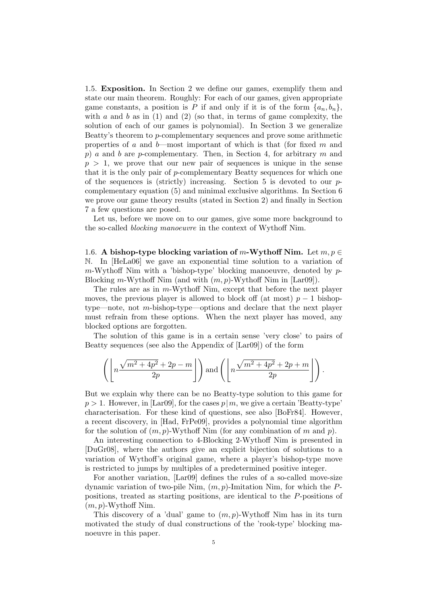1.5. Exposition. In Section 2 we define our games, exemplify them and state our main theorem. Roughly: For each of our games, given appropriate game constants, a position is P if and only if it is of the form  $\{a_n, b_n\}$ , with a and b as in (1) and (2) (so that, in terms of game complexity, the solution of each of our games is polynomial). In Section 3 we generalize Beatty's theorem to p-complementary sequences and prove some arithmetic properties of a and  $b$ —most important of which is that (for fixed m and p) a and b are p-complementary. Then, in Section 4, for arbitrary m and  $p > 1$ , we prove that our new pair of sequences is unique in the sense that it is the only pair of p-complementary Beatty sequences for which one of the sequences is (strictly) increasing. Section 5 is devoted to our  $p$ complementary equation (5) and minimal exclusive algorithms. In Section 6 we prove our game theory results (stated in Section 2) and finally in Section 7 a few questions are posed.

Let us, before we move on to our games, give some more background to the so-called blocking manoeuvre in the context of Wythoff Nim.

1.6. A bishop-type blocking variation of m-Wythoff Nim. Let  $m, p \in$ N. In [HeLa06] we gave an exponential time solution to a variation of  $m$ -Wythoff Nim with a 'bishop-type' blocking manoeuvre, denoted by  $p$ -Blocking m-Wythoff Nim (and with  $(m, p)$ -Wythoff Nim in [Lar09]).

The rules are as in  $m$ -Wythoff Nim, except that before the next player moves, the previous player is allowed to block off (at most)  $p-1$  bishoptype—note, not m-bishop-type—options and declare that the next player must refrain from these options. When the next player has moved, any blocked options are forgotten.

The solution of this game is in a certain sense 'very close' to pairs of Beatty sequences (see also the Appendix of [Lar09]) of the form

$$
\left(\left\lfloor n \frac{\sqrt{m^2+4p^2}+2p-m}{2p}\right\rfloor\right) \text{and} \left(\left\lfloor n \frac{\sqrt{m^2+4p^2}+2p+m}{2p}\right\rfloor\right).
$$

But we explain why there can be no Beatty-type solution to this game for  $p > 1$ . However, in [Lar09], for the cases  $p|m$ , we give a certain 'Beatty-type' characterisation. For these kind of questions, see also [BoFr84]. However, a recent discovery, in [Had, FrPe09], provides a polynomial time algorithm for the solution of  $(m, p)$ -Wythoff Nim (for any combination of m and p).

An interesting connection to 4-Blocking 2-Wythoff Nim is presented in [DuGr08], where the authors give an explicit bijection of solutions to a variation of Wythoff's original game, where a player's bishop-type move is restricted to jumps by multiples of a predetermined positive integer.

For another variation, [Lar09] defines the rules of a so-called move-size dynamic variation of two-pile Nim,  $(m, p)$ -Imitation Nim, for which the Ppositions, treated as starting positions, are identical to the P-positions of  $(m, p)$ -Wythoff Nim.

This discovery of a 'dual' game to  $(m, p)$ -Wythoff Nim has in its turn motivated the study of dual constructions of the 'rook-type' blocking manoeuvre in this paper.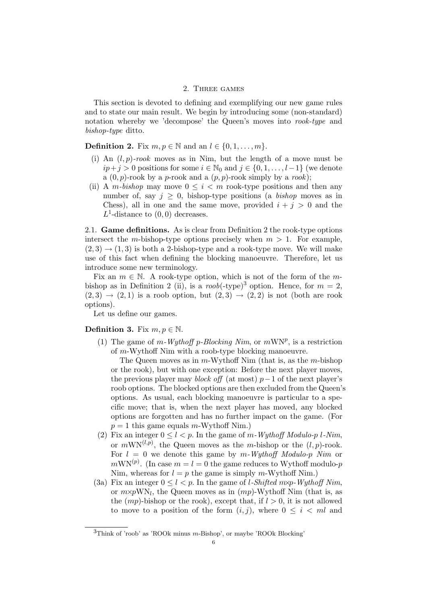#### 2. Three games

This section is devoted to defining and exemplifying our new game rules and to state our main result. We begin by introducing some (non-standard) notation whereby we 'decompose' the Queen's moves into rook-type and bishop-type ditto.

**Definition 2.** Fix  $m, p \in \mathbb{N}$  and an  $l \in \{0, 1, \ldots, m\}$ .

- (i) An  $(l, p)$ -rook moves as in Nim, but the length of a move must be  $ip+j > 0$  positions for some  $i \in \mathbb{N}_0$  and  $j \in \{0, 1, \ldots, l-1\}$  (we denote a  $(0, p)$ -rook by a p-rook and a  $(p, p)$ -rook simply by a rook);
- (ii) A m-bishop may move  $0 \leq i \leq m$  rook-type positions and then any number of, say  $j \geq 0$ , bishop-type positions (a *bishop* moves as in Chess), all in one and the same move, provided  $i + j > 0$  and the  $L^1$ -distance to  $(0,0)$  decreases.

2.1. Game definitions. As is clear from Definition 2 the rook-type options intersect the m-bishop-type options precisely when  $m > 1$ . For example,  $(2,3) \rightarrow (1,3)$  is both a 2-bishop-type and a rook-type move. We will make use of this fact when defining the blocking manoeuvre. Therefore, let us introduce some new terminology.

Fix an  $m \in \mathbb{N}$ . A rook-type option, which is not of the form of the mbishop as in Definition 2 (ii), is a roob(-type)<sup>3</sup> option. Hence, for  $m = 2$ ,  $(2,3) \rightarrow (2,1)$  is a roob option, but  $(2,3) \rightarrow (2,2)$  is not (both are rook options).

Let us define our games.

### **Definition 3.** Fix  $m, p \in \mathbb{N}$ .

(1) The game of m-Wythoff p-Blocking Nim, or  $mWN^p$ , is a restriction of m-Wythoff Nim with a roob-type blocking manoeuvre.

The Queen moves as in  $m$ -Wythoff Nim (that is, as the  $m$ -bishop or the rook), but with one exception: Before the next player moves, the previous player may *block off* (at most)  $p-1$  of the next player's roob options. The blocked options are then excluded from the Queen's options. As usual, each blocking manoeuvre is particular to a specific move; that is, when the next player has moved, any blocked options are forgotten and has no further impact on the game. (For  $p = 1$  this game equals m-Wythoff Nim.)

- (2) Fix an integer  $0 \leq l < p$ . In the game of m-Wythoff Modulo-p l-Nim, or  $mWN^{(l,p)}$ , the Queen moves as the m-bishop or the  $(l, p)$ -rook. For  $l = 0$  we denote this game by m-Wythoff Modulo-p Nim or  $m$ WN<sup>(p)</sup>. (In case  $m = l = 0$  the game reduces to Wythoff modulo-p Nim, whereas for  $l = p$  the game is simply m-Wythoff Nim.)
- (3a) Fix an integer  $0 \leq l < p$ . In the game of *l*-Shifted mxp-Wythoff Nim, or  $m \times p$ WN<sub>l</sub>, the Queen moves as in  $(mp)$ -Wythoff Nim (that is, as the  $(mp)$ -bishop or the rook), except that, if  $l > 0$ , it is not allowed to move to a position of the form  $(i, j)$ , where  $0 \leq i \leq ml$  and

 $3$ Think of 'roob' as 'ROOk minus m-Bishop', or maybe 'ROOk Blocking'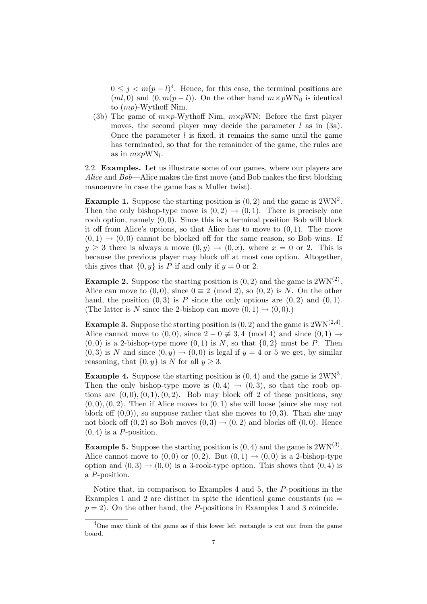$0 \leq j \leq m(p-l)^4$ . Hence, for this case, the terminal positions are  $(ml, 0)$  and  $(0, m(p - l))$ . On the other hand  $m \times p$ WN<sub>0</sub> is identical to (mp)-Wythoff Nim.

(3b) The game of  $m \times p$ -Wythoff Nim,  $m \times p$ WN: Before the first player moves, the second player may decide the parameter  $l$  as in  $(3a)$ . Once the parameter  $l$  is fixed, it remains the same until the game has terminated, so that for the remainder of the game, the rules are as in  $m \times p \text{WN}_l$ .

2.2. Examples. Let us illustrate some of our games, where our players are Alice and Bob—Alice makes the first move (and Bob makes the first blocking manoeuvre in case the game has a Muller twist).

**Example 1.** Suppose the starting position is  $(0, 2)$  and the game is  $2WN^2$ . Then the only bishop-type move is  $(0, 2) \rightarrow (0, 1)$ . There is precisely one roob option, namely  $(0, 0)$ . Since this is a terminal position Bob will block it off from Alice's options, so that Alice has to move to  $(0, 1)$ . The move  $(0, 1) \rightarrow (0, 0)$  cannot be blocked off for the same reason, so Bob wins. If  $y > 3$  there is always a move  $(0, y) \rightarrow (0, x)$ , where  $x = 0$  or 2. This is because the previous player may block off at most one option. Altogether, this gives that  $\{0, y\}$  is P if and only if  $y = 0$  or 2.

**Example 2.** Suppose the starting position is  $(0, 2)$  and the game is  $2WN^{(2)}$ . Alice can move to  $(0, 0)$ , since  $0 \equiv 2 \pmod{2}$ , so  $(0, 2)$  is N. On the other hand, the position  $(0, 3)$  is P since the only options are  $(0, 2)$  and  $(0, 1)$ . (The latter is N since the 2-bishop can move  $(0, 1) \rightarrow (0, 0)$ .)

**Example 3.** Suppose the starting position is  $(0, 2)$  and the game is  $2WN^{(2, 4)}$ . Alice cannot move to  $(0, 0)$ , since  $2 - 0 \neq 3, 4 \pmod{4}$  and since  $(0, 1) \rightarrow$  $(0, 0)$  is a 2-bishop-type move  $(0, 1)$  is N, so that  $\{0, 2\}$  must be P. Then  $(0, 3)$  is N and since  $(0, y) \rightarrow (0, 0)$  is legal if  $y = 4$  or 5 we get, by similar reasoning, that  $\{0, y\}$  is N for all  $y \geq 3$ .

**Example 4.** Suppose the starting position is  $(0, 4)$  and the game is  $2WN<sup>3</sup>$ . Then the only bishop-type move is  $(0, 4) \rightarrow (0, 3)$ , so that the roob options are  $(0, 0), (0, 1), (0, 2)$ . Bob may block off 2 of these positions, say  $(0,0), (0,2)$ . Then if Alice moves to  $(0,1)$  she will loose (since she may not block of  $(0,0)$ , so suppose rather that she moves to  $(0,3)$ . Than she may not block off  $(0, 2)$  so Bob moves  $(0, 3) \rightarrow (0, 2)$  and blocks off  $(0, 0)$ . Hence  $(0, 4)$  is a *P*-position.

**Example 5.** Suppose the starting position is  $(0, 4)$  and the game is  $2WN^{(3)}$ . Alice cannot move to  $(0,0)$  or  $(0,2)$ . But  $(0,1) \rightarrow (0,0)$  is a 2-bishop-type option and  $(0, 3) \rightarrow (0, 0)$  is a 3-rook-type option. This shows that  $(0, 4)$  is a P-position.

Notice that, in comparison to Examples 4 and 5, the P-positions in the Examples 1 and 2 are distinct in spite the identical game constants ( $m =$  $p = 2$ ). On the other hand, the P-positions in Examples 1 and 3 coincide.

<sup>4</sup>One may think of the game as if this lower left rectangle is cut out from the game board.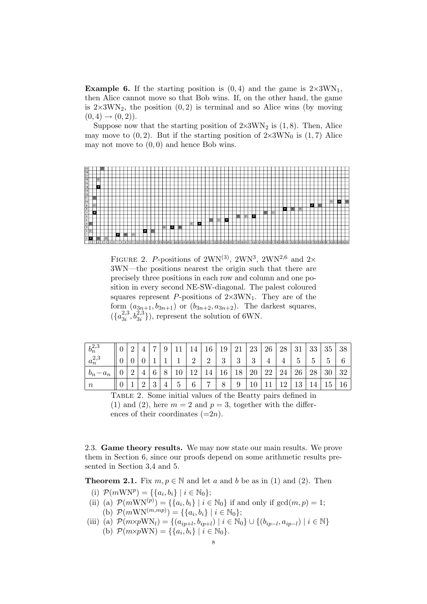**Example 6.** If the starting position is  $(0, 4)$  and the game is  $2 \times 3WN_1$ , then Alice cannot move so that Bob wins. If, on the other hand, the game is  $2\times3\text{WN}_2$ , the position  $(0, 2)$  is terminal and so Alice wins (by moving  $(0, 4) \rightarrow (0, 2)$ .

Suppose now that the starting position of  $2\times3\text{WN}_2$  is (1,8). Then, Alice may move to  $(0, 2)$ . But if the starting position of  $2 \times 3 \text{WN}_0$  is  $(1, 7)$  Alice may not move to  $(0, 0)$  and hence Bob wins.



FIGURE 2. P-positions of 2WN<sup>(3)</sup>, 2WN<sup>3</sup>, 2WN<sup>2,6</sup> and 2× 3WN—the positions nearest the origin such that there are precisely three positions in each row and column and one position in every second NE-SW-diagonal. The palest coloured squares represent P-positions of  $2\times3\text{WN}_1$ . They are of the form  $(a_{3n+1}, b_{3n+1})$  or  $(b_{3n+2}, a_{3n+2})$ . The darkest squares,  $\left(\frac{a_{3i}^{2,3}}{a_{3i}^{2,3}}\right)$  $\left(2,3,2,3,3,1,6\right)$ , represent the solution of 6WN.

| $b_n^{2,3}$     |   | ົ |   | $\overline{ }$ | ◡ |               | 14 | 16             | 19                | 21 | 23 | 26 | 28  | 31            | 33            | 35     | 38     |
|-----------------|---|---|---|----------------|---|---------------|----|----------------|-------------------|----|----|----|-----|---------------|---------------|--------|--------|
| $a_n^{2,3}$     |   |   |   |                |   |               | റ  | $\Omega$       | $\mathbf{Q}$<br>◡ | 3  | 3  |    |     | $\mathcal{O}$ | $\mathcal{C}$ | ►<br>G | ◠<br>0 |
| $b_n$<br>$-a_n$ |   |   |   | v              |   | $10\,$        | 10 |                | 16                | 18 | 20 | 22 | 24  | 26            | 28            | 30     | 32     |
| $\it n$         | υ |   | ↵ | - 2<br>◡       |   | $\mathcal{C}$ | 6  | $\overline{ }$ |                   | 9  |    |    | 1 ດ | 19.5<br>ŦΘ    | 14            | 5 L    | 16     |

Table 2. Some initial values of the Beatty pairs defined in (1) and (2), here  $m = 2$  and  $p = 3$ , together with the differences of their coordinates  $(=2n)$ .

2.3. Game theory results. We may now state our main results. We prove them in Section 6, since our proofs depend on some arithmetic results presented in Section 3,4 and 5.

**Theorem 2.1.** Fix  $m, p \in \mathbb{N}$  and let a and b be as in (1) and (2). Then

- (i)  $\mathcal{P}(m\text{WNP}) = \{\{a_i, b_i\} \mid i \in \mathbb{N}_0\};$
- (ii) (a)  $\mathcal{P}(m\text{WN}^{(p)}) = \{\{a_i, b_i\} \mid i \in \mathbb{N}_0\}$  if and only if  $\gcd(m, p) = 1;$ (b)  $\mathcal{P}(m\text{WN}^{(m,mp)}) = \{\{a_i, b_i\} \mid i \in \mathbb{N}_0\};$
- (iii) (a)  $\mathcal{P}(m \times p \text{WN}_l) = \{(a_{ip+l}, b_{ip+l}) \mid i \in \mathbb{N}_0\} \cup \{(b_{ip-l}, a_{ip-l}) \mid i \in \mathbb{N}\}\$ (b)  $\mathcal{P}(m \times p \text{WN}) = \{ \{a_i, b_i\} \mid i \in \mathbb{N}_0 \}.$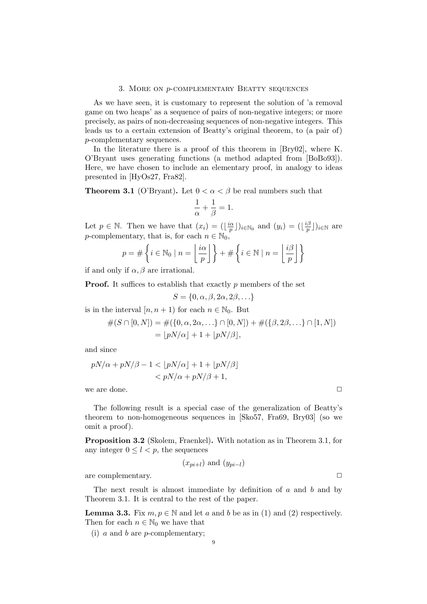#### 3. More on p-complementary Beatty sequences

As we have seen, it is customary to represent the solution of 'a removal game on two heaps' as a sequence of pairs of non-negative integers; or more precisely, as pairs of non-decreasing sequences of non-negative integers. This leads us to a certain extension of Beatty's original theorem, to (a pair of) p-complementary sequences.

In the literature there is a proof of this theorem in [Bry02], where K. O'Bryant uses generating functions (a method adapted from [BoBo93]). Here, we have chosen to include an elementary proof, in analogy to ideas presented in [HyOs27, Fra82].

**Theorem 3.1** (O'Bryant). Let  $0 < \alpha < \beta$  be real numbers such that

$$
\frac{1}{\alpha} + \frac{1}{\beta} = 1.
$$

Let  $p \in \mathbb{N}$ . Then we have that  $(x_i) = (\frac{i\alpha}{n_i})$  $(\frac{a}{p})\}_{i\in\mathbb{N}_0}$  and  $(y_i) = (\lfloor \frac{i\beta}{p}\rfloor)$  $(\frac{p}{p})\big)_{i\in\mathbb{N}}$  are p-complementary, that is, for each  $n \in \mathbb{N}_0$ , l.  $\mathbf{R}$ 

$$
p = #\left\{i \in \mathbb{N}_0 \mid n = \left\lfloor \frac{i\alpha}{p} \right\rfloor\right\} + #\left\{i \in \mathbb{N} \mid n = \left\lfloor \frac{i\beta}{p} \right\rfloor\right\}
$$

if and only if  $\alpha, \beta$  are irrational.

**Proof.** It suffices to establish that exactly p members of the set

$$
S = \{0, \alpha, \beta, 2\alpha, 2\beta, \ldots\}
$$

is in the interval  $[n, n + 1)$  for each  $n \in \mathbb{N}_0$ . But

$$
#(S \cap [0,N]) = #({0, \alpha, 2\alpha, \ldots} \cap [0,N]) + #({\beta, 2\beta, \ldots} \cap [1,N])
$$
  
= 
$$
[pN/\alpha] + 1 + [pN/\beta],
$$

and since

$$
pN/\alpha + pN/\beta - 1 < \lfloor pN/\alpha \rfloor + 1 + \lfloor pN/\beta \rfloor
$$
  

$$
< pN/\alpha + pN/\beta + 1,
$$

we are done.  $\Box$ 

The following result is a special case of the generalization of Beatty's theorem to non-homogeneous sequences in [Sko57, Fra69, Bry03] (so we omit a proof).

Proposition 3.2 (Skolem, Fraenkel). With notation as in Theorem 3.1, for any integer  $0 \leq l < p$ , the sequences

 $(x_{pi+l})$  and  $(y_{pi-l})$ 

are complementary.  $\Box$ 

The next result is almost immediate by definition of  $a$  and  $b$  and by Theorem 3.1. It is central to the rest of the paper.

**Lemma 3.3.** Fix  $m, p \in \mathbb{N}$  and let a and b be as in (1) and (2) respectively. Then for each  $n \in \mathbb{N}_0$  we have that

(i) a and b are p-complementary;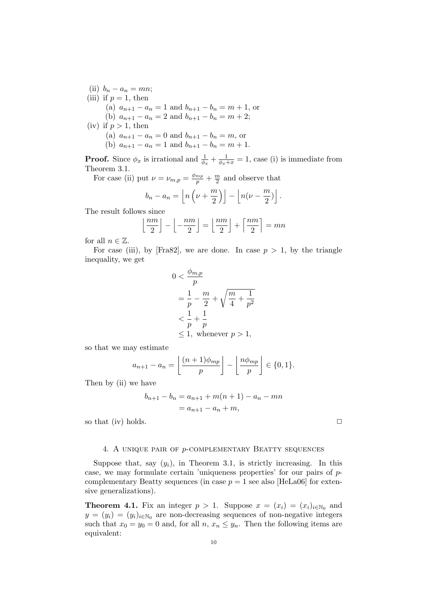(ii)  $b_n - a_n = mn;$ (iii) if  $p=1$ , then (a)  $a_{n+1} - a_n = 1$  and  $b_{n+1} - b_n = m + 1$ , or (b)  $a_{n+1} - a_n = 2$  and  $b_{n+1} - b_n = m + 2$ ; (iv) if  $p > 1$ , then (a)  $a_{n+1} - a_n = 0$  and  $b_{n+1} - b_n = m$ , or (b)  $a_{n+1} - a_n = 1$  and  $b_{n+1} - b_n = m + 1$ .

**Proof.** Since  $\phi_x$  is irrational and  $\frac{1}{\phi_x} + \frac{1}{\phi_x + x} = 1$ , case (i) is immediate from Theorem 3.1.

For case (ii) put  $\nu = \nu_{m,p} = \frac{\phi_{mp}}{p} + \frac{m}{2}$  $\frac{n}{2}$  and observe that  $\begin{array}{ccc} 1 & \ell & m+1 \\ m & \ell & m+1 \end{array}$ 

$$
b_n - a_n = \left\lfloor n\left(\nu + \frac{m}{2}\right) \right\rfloor - \left\lfloor n(\nu - \frac{m}{2}) \right\rfloor.
$$

The result follows since<br> $\lfloor nm \rfloor$ 

$$
\left\lfloor \frac{nm}{2} \right\rfloor - \left\lfloor -\frac{nm}{2} \right\rfloor = \left\lfloor \frac{nm}{2} \right\rfloor + \left\lceil \frac{nm}{2} \right\rceil = mn
$$

for all  $n \in \mathbb{Z}$ .

For case (iii), by [Fra82], we are done. In case  $p > 1$ , by the triangle inequality, we get

$$
0 < \frac{\phi_{m,p}}{p}
$$
\n
$$
= \frac{1}{p} - \frac{m}{2} + \sqrt{\frac{m}{4} + \frac{1}{p^2}}
$$
\n
$$
\frac{1}{p} + \frac{1}{p}
$$
\n
$$
\leq 1, \text{ whenever } p > 1,
$$

so that we may estimate

$$
a_{n+1} - a_n = \left\lfloor \frac{(n+1)\phi_{mp}}{p} \right\rfloor - \left\lfloor \frac{n\phi_{mp}}{p} \right\rfloor \in \{0, 1\}.
$$

Then by (ii) we have

$$
b_{n+1} - b_n = a_{n+1} + m(n+1) - a_n - mn
$$
  
=  $a_{n+1} - a_n + m$ ,

so that (iv) holds.  $\Box$ 

#### 4. A unique pair of p-complementary Beatty sequences

Suppose that, say  $(y_i)$ , in Theorem 3.1, is strictly increasing. In this case, we may formulate certain 'uniqueness properties' for our pairs of  $p$ complementary Beatty sequences (in case  $p = 1$  see also [HeLa06] for extensive generalizations).

**Theorem 4.1.** Fix an integer  $p > 1$ . Suppose  $x = (x_i) = (x_i)_{i \in \mathbb{N}_0}$  and  $y = (y_i) = (y_i)_{i \in \mathbb{N}_0}$  are non-decreasing sequences of non-negative integers such that  $x_0 = y_0 = 0$  and, for all  $n, x_n \leq y_n$ . Then the following items are equivalent: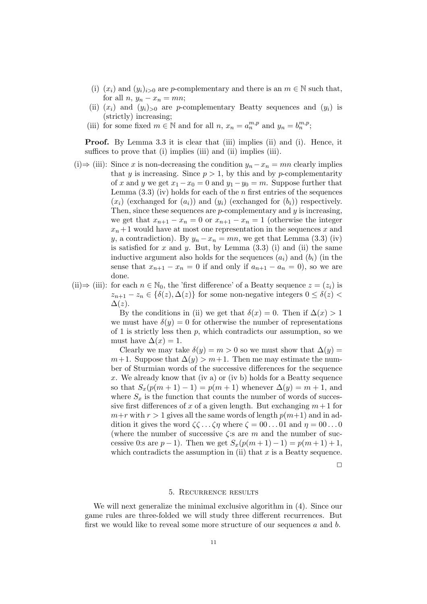- (i)  $(x_i)$  and  $(y_i)_{i>0}$  are p-complementary and there is an  $m \in \mathbb{N}$  such that, for all  $n, y_n - x_n = mn;$
- (ii)  $(x_i)$  and  $(y_i)_{>0}$  are p-complementary Beatty sequences and  $(y_i)$  is (strictly) increasing;
- (iii) for some fixed  $m \in \mathbb{N}$  and for all  $n, x_n = a_n^{m,p}$  and  $y_n = b_n^{m,p}$ ;

Proof. By Lemma 3.3 it is clear that (iii) implies (ii) and (i). Hence, it suffices to prove that (i) implies (iii) and (ii) implies (iii).

- (i)  $\Rightarrow$  (iii): Since x is non-decreasing the condition  $y_n x_n = mn$  clearly implies that y is increasing. Since  $p > 1$ , by this and by p-complementarity of x and y we get  $x_1 - x_0 = 0$  and  $y_1 - y_0 = m$ . Suppose further that Lemma  $(3.3)$  (iv) holds for each of the n first entries of the sequences  $(x_i)$  (exchanged for  $(a_i)$ ) and  $(y_i)$  (exchanged for  $(b_i)$ ) respectively. Then, since these sequences are  $p$ -complementary and  $y$  is increasing, we get that  $x_{n+1} - x_n = 0$  or  $x_{n+1} - x_n = 1$  (otherwise the integer  $x_n + 1$  would have at most one representation in the sequences x and y, a contradiction). By  $y_n - x_n = mn$ , we get that Lemma (3.3) (iv) is satisfied for  $x$  and  $y$ . But, by Lemma  $(3.3)$  (i) and (ii) the same inductive argument also holds for the sequences  $(a_i)$  and  $(b_i)$  (in the sense that  $x_{n+1} - x_n = 0$  if and only if  $a_{n+1} - a_n = 0$ , so we are done.
- (ii)⇒ (iii): for each  $n \in \mathbb{N}_0$ , the 'first difference' of a Beatty sequence  $z = (z_i)$  is  $z_{n+1} - z_n \in {\delta(z), \Delta(z)}$  for some non-negative integers  $0 \leq \delta(z)$  $\Delta(z)$ .

By the conditions in (ii) we get that  $\delta(x) = 0$ . Then if  $\Delta(x) > 1$ we must have  $\delta(y) = 0$  for otherwise the number of representations of 1 is strictly less then  $p$ , which contradicts our assumption, so we must have  $\Delta(x) = 1$ .

Clearly we may take  $\delta(y) = m > 0$  so we must show that  $\Delta(y) =$  $m+1$ . Suppose that  $\Delta(y) > m+1$ . Then me may estimate the number of Sturmian words of the successive differences for the sequence x. We already know that (iv a) or (iv b) holds for a Beatty sequence so that  $S_x(p(m+1)-1) = p(m+1)$  whenever  $\Delta(y) = m+1$ , and where  $S_x$  is the function that counts the number of words of successive first differences of x of a given length. But exchanging  $m+1$  for  $m+r$  with  $r > 1$  gives all the same words of length  $p(m+1)$  and in addition it gives the word  $\zeta \zeta \dots \zeta \eta$  where  $\zeta = 00 \dots 01$  and  $\eta = 00 \dots 0$ (where the number of successive  $\zeta$ : are m and the number of successive 0:s are  $p-1$ ). Then we get  $S_x(p(m+1)-1) = p(m+1)+1$ , which contradicts the assumption in (ii) that  $x$  is a Beatty sequence.

 $\Box$ 

#### 5. Recurrence results

We will next generalize the minimal exclusive algorithm in (4). Since our game rules are three-folded we will study three different recurrences. But first we would like to reveal some more structure of our sequences a and b.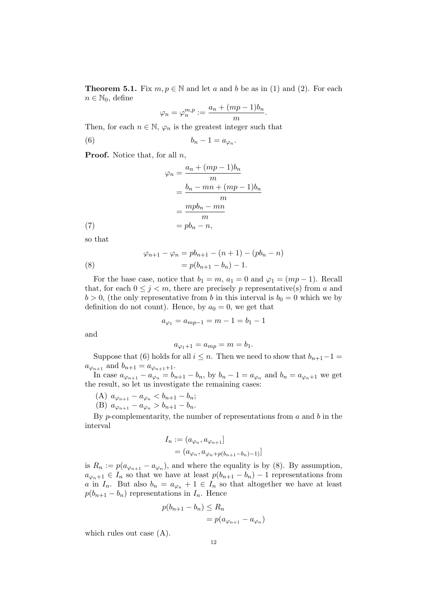**Theorem 5.1.** Fix  $m, p \in \mathbb{N}$  and let a and b be as in (1) and (2). For each  $n \in \mathbb{N}_0$ , define

$$
\varphi_n = \varphi_n^{m,p} := \frac{a_n + (mp-1)b_n}{m}.
$$

Then, for each  $n \in \mathbb{N}$ ,  $\varphi_n$  is the greatest integer such that

$$
(6) \t\t b_n - 1 = a_{\varphi_n}.
$$

**Proof.** Notice that, for all  $n$ ,

(7)  
\n
$$
\varphi_n = \frac{a_n + (mp - 1)b_n}{m}
$$
\n
$$
= \frac{b_n - mn + (mp - 1)b_n}{m}
$$
\n
$$
= \frac{mpb_n - mn}{m}
$$
\n
$$
= pb_n - n,
$$

so that

(8) 
$$
\varphi_{n+1} - \varphi_n = pb_{n+1} - (n+1) - (pb_n - n) = p(b_{n+1} - b_n) - 1.
$$

For the base case, notice that  $b_1 = m$ ,  $a_1 = 0$  and  $\varphi_1 = (mp-1)$ . Recall that, for each  $0 \leq j \leq m$ , there are precisely p representative(s) from a and  $b > 0$ , (the only representative from b in this interval is  $b<sub>0</sub> = 0$  which we by definition do not count). Hence, by  $a_0 = 0$ , we get that

$$
a_{\varphi_1} = a_{mp-1} = m - 1 = b_1 - 1
$$

and

$$
a_{\varphi_1+1} = a_{mp} = m = b_1.
$$

Suppose that (6) holds for all  $i \leq n$ . Then we need to show that  $b_{n+1}-1 =$  $a_{\varphi_{n+1}}$  and  $b_{n+1} = a_{\varphi_{n+1}+1}$ .

In case  $a_{\varphi_{n+1}} - a_{\varphi_n} = b_{n+1} - b_n$ , by  $b_n - 1 = a_{\varphi_n}$  and  $b_n = a_{\varphi_{n+1}}$  we get the result, so let us investigate the remaining cases:

- (A)  $a_{\varphi_{n+1}} a_{\varphi_n} < b_{n+1} b_n;$
- (B)  $a_{\varphi_{n+1}} a_{\varphi_n} > b_{n+1} b_n$ .

By p-complementarity, the number of representations from  $a$  and  $b$  in the interval

$$
I_n := (a_{\varphi_n}, a_{\varphi_{n+1}}]
$$
  
=  $(a_{\varphi_n}, a_{\varphi_n+p(b_{n+1}-b_n)-1})$ 

is  $R_n := p(a_{\varphi_{n+1}} - a_{\varphi_n}),$  and where the equality is by (8). By assumption,  $a_{\varphi_n+1} \in I_n$  so that we have at least  $p(b_{n+1} - b_n) - 1$  representations from a in  $I_n$ . But also  $b_n = a_{\varphi_n} + 1 \in I_n$  so that altogether we have at least  $p(b_{n+1} - b_n)$  representations in  $I_n$ . Hence

$$
p(b_{n+1} - b_n) \le R_n
$$
  
=  $p(a_{\varphi_{n+1}} - a_{\varphi_n})$ 

which rules out case (A).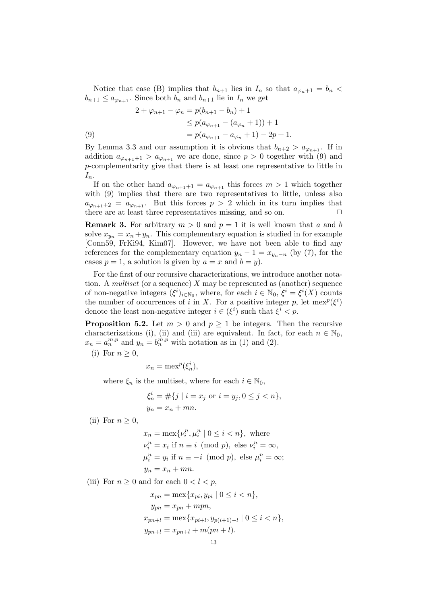Notice that case (B) implies that  $b_{n+1}$  lies in  $I_n$  so that  $a_{\varphi_n+1} = b_n$  $b_{n+1} \le a_{\varphi_{n+1}}$ . Since both  $b_n$  and  $b_{n+1}$  lie in  $I_n$  we get

(9)  
\n
$$
2 + \varphi_{n+1} - \varphi_n = p(b_{n+1} - b_n) + 1
$$
\n
$$
\leq p(a_{\varphi_{n+1}} - (a_{\varphi_n} + 1)) + 1
$$
\n
$$
= p(a_{\varphi_{n+1}} - a_{\varphi_n} + 1) - 2p + 1.
$$

By Lemma 3.3 and our assumption it is obvious that  $b_{n+2} > a_{\varphi_{n+1}}$ . If in addition  $a_{\varphi_{n+1}+1} > a_{\varphi_{n+1}}$  we are done, since  $p > 0$  together with (9) and p-complementarity give that there is at least one representative to little in  $I_n$ .

If on the other hand  $a_{\varphi_{n+1}+1} = a_{\varphi_{n+1}}$  this forces  $m > 1$  which together with  $(9)$  implies that there are two representatives to little, unless also  $a_{\varphi_{n+1}+2} = a_{\varphi_{n+1}}$ . But this forces  $p > 2$  which in its turn implies that there are at least three representatives missing, and so on.  $\Box$ 

**Remark 3.** For arbitrary  $m > 0$  and  $p = 1$  it is well known that a and b solve  $x_{y_n} = x_n + y_n$ . This complementary equation is studied in for example [Conn59, FrKi94, Kim07]. However, we have not been able to find any references for the complementary equation  $y_n - 1 = x_{y_n-n}$  (by (7), for the cases  $p = 1$ , a solution is given by  $a = x$  and  $b = y$ ).

For the first of our recursive characterizations, we introduce another notation. A *multiset* (or a sequence) X may be represented as (another) sequence of non-negative integers  $(\xi^i)_{i \in \mathbb{N}_0}$ , where, for each  $i \in \mathbb{N}_0$ ,  $\xi^i = \xi^i(X)$  counts the number of occurrences of i in X. For a positive integer p, let  $\operatorname{mex}^p(\xi^i)$ denote the least non-negative integer  $i \in (\xi^i)$  such that  $\xi^i < p$ .

**Proposition 5.2.** Let  $m > 0$  and  $p \ge 1$  be integers. Then the recursive characterizations (i), (ii) and (iii) are equivalent. In fact, for each  $n \in \mathbb{N}_0$ ,  $x_n = a_n^{m,p}$  and  $y_n = b_n^{\dot{m},p}$  with notation as in (1) and (2).

(i) For  $n \geq 0$ ,

$$
x_n = \max^p(\xi_n^i),
$$

where  $\xi_n$  is the multiset, where for each  $i \in \mathbb{N}_0$ ,

$$
\xi_n^i = \# \{ j \mid i = x_j \text{ or } i = y_j, 0 \le j < n \},
$$
\n
$$
y_n = x_n + mn.
$$

(ii) For  $n \geq 0$ ,

 $x_n = \max\{\nu_i^n, \mu_i^n \mid 0 \le i < n\},\$  where  $\nu_i^n = x_i$  if  $n \equiv i \pmod{p}$ , else  $\nu_i^n = \infty$ ,  $\mu_i^n = y_i$  if  $n \equiv -i \pmod{p}$ , else  $\mu_i^n = \infty$ ;  $y_n = x_n + mn.$ 

(iii) For  $n \geq 0$  and for each  $0 < l < p$ ,

$$
x_{pn} = \max\{x_{pi}, y_{pi} \mid 0 \le i < n\},
$$
  
\n
$$
y_{pn} = x_{pn} + mpn,
$$
  
\n
$$
x_{pn+l} = \max\{x_{pi+l}, y_{p(i+1)-l} \mid 0 \le i < n\},
$$
  
\n
$$
y_{pn+l} = x_{pn+l} + m(pn+l).
$$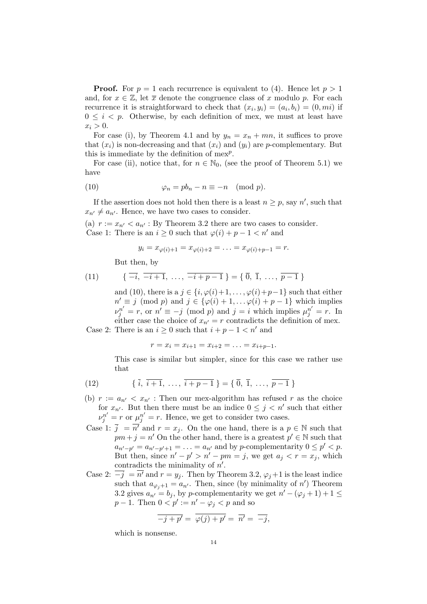**Proof.** For  $p = 1$  each recurrence is equivalent to (4). Hence let  $p > 1$ and, for  $x \in \mathbb{Z}$ , let  $\overline{x}$  denote the congruence class of x modulo p. For each recurrence it is straightforward to check that  $(x_i, y_i) = (a_i, b_i) = (0, mi)$  if  $0 \leq i \leq p$ . Otherwise, by each definition of mex, we must at least have  $x_i > 0$ .

For case (i), by Theorem 4.1 and by  $y_n = x_n + mn$ , it suffices to prove that  $(x_i)$  is non-decreasing and that  $(x_i)$  and  $(y_i)$  are p-complementary. But this is immediate by the definition of  $mex<sup>p</sup>$ .

For case (ii), notice that, for  $n \in \mathbb{N}_0$ , (see the proof of Theorem 5.1) we have

(10) 
$$
\varphi_n = pb_n - n \equiv -n \pmod{p}.
$$

If the assertion does not hold then there is a least  $n \geq p$ , say n', such that  $x_{n'} \neq a_{n'}$ . Hence, we have two cases to consider.

(a)  $r := x_{n'} < a_{n'}$ : By Theorem 3.2 there are two cases to consider. Case 1: There is an  $i \geq 0$  such that  $\varphi(i) + p - 1 < n'$  and

$$
y_i = x_{\varphi(i)+1} = x_{\varphi(i)+2} = \ldots = x_{\varphi(i)+p-1} = r.
$$

But then, by

(11) 
$$
\{\overline{-i}, \overline{-i+1}, \ldots, \overline{-i+p-1}\} = \{\overline{0}, \overline{1}, \ldots, \overline{p-1}\}
$$

and (10), there is a  $j \in \{i, \varphi(i)+1, \ldots, \varphi(i)+p-1\}$  such that either  $n' \equiv j \pmod{p}$  and  $j \in {\varphi(i) + 1, \ldots \varphi(i) + p - 1}$  which implies  $\nu_j^{n'} = r$ , or  $n' \equiv -j \pmod{p}$  and  $j = i$  which implies  $\mu_j^{n'} = r$ . In either case the choice of  $x_{n'}=r$  contradicts the definition of mex. Case 2: There is an  $i \geq 0$  such that  $i + p - 1 < n'$  and

 $r = x_i = x_{i+1} = x_{i+2} = \ldots = x_{i+p-1}.$ 

This case is similar but simpler, since for this case we rather use that

(12) 
$$
\{\,\overline{i},\,\overline{i+1},\,\ldots,\,\overline{i+p-1}\,\} = \{\,\overline{0},\,\overline{1},\,\ldots,\,\overline{p-1}\,\}
$$

- (b)  $r := a_{n'} < x_{n'}$ : Then our mex-algorithm has refused r as the choice for  $x_{n'}$ . But then there must be an indice  $0 \leq j \leq n'$  such that either  $\nu_j^{n'} = r$  or  $\mu_j^{n'} = r$ . Hence, we get to consider two cases.
- Case 1:  $\overline{j} = \overline{n'}$  and  $r = x_i$ . On the one hand, there is a  $p \in \mathbb{N}$  such that  $pm+j = n'$  On the other hand, there is a greatest  $p' \in \mathbb{N}$  such that  $a_{n'-p'} = a_{n'-p'+1} = \ldots = a_{n'}$  and by p-complementarity  $0 \leq p' < p$ . But then, since  $n'-p' > n'-pm = j$ , we get  $a_j < r = x_j$ , which contradicts the minimality of  $n'$ .
- Case 2:  $\overline{-j} = \overline{n'}$  and  $r = y_j$ . Then by Theorem 3.2,  $\varphi_j + 1$  is the least indice such that  $a_{\varphi_j+1} = a_{n'}$ . Then, since (by minimality of n') Theorem 3.2 gives  $a_{n'} = b_j$ , by p-complementarity we get  $n' - (\varphi_j + 1) + 1 \leq$  $p-1$ . Then  $0 < p' := n' - \varphi_j < p$  and so

$$
\overline{-j+p'} = \overline{\varphi(j)+p'} = \overline{n'} = \overline{-j},
$$

which is nonsense.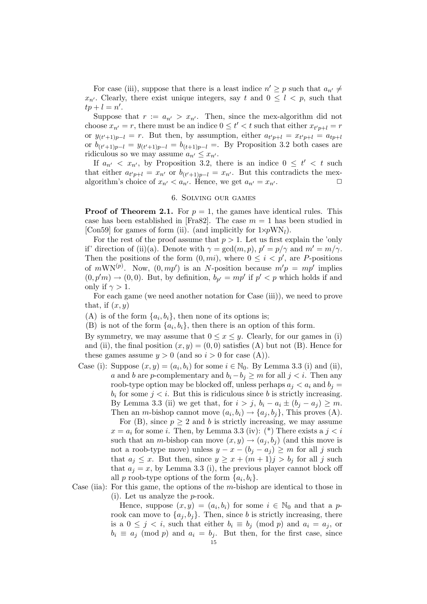For case (iii), suppose that there is a least indice  $n' \geq p$  such that  $a_{n'} \neq$  $x_{n'}$ . Clearly, there exist unique integers, say t and  $0 \leq l \leq p$ , such that  $tp+l=n'.$ 

Suppose that  $r := a_{n'} > x_{n'}$ . Then, since the mex-algorithm did not choose  $x_{n'} = r$ , there must be an indice  $0 \leq t' < t$  such that either  $x_{t'p+l} = r$ or  $y_{(t'+1)p-l} = r$ . But then, by assumption, either  $a_{t'p+l} = x_{t'p+l} = a_{tp+l}$ or  $b_{(t'+1)p-l} = y_{(t'+1)p-l} = b_{(t+1)p-l} =$ . By Proposition 3.2 both cases are ridiculous so we may assume  $a_{n'} \leq x_{n'}$ .

If  $a_{n'} < x_{n'}$ , by Proposition 3.2, there is an indice  $0 \leq t' < t$  such that either  $a_{t'p+l} = x_{n'}$  or  $b_{(t'+1)p-l} = x_{n'}$ . But this contradicts the mexalgorithm's choice of  $x_{n'} < a_{n'}$ . Hence, we get  $a_{n'} = x_{n'}$ .

# 6. Solving our games

**Proof of Theorem 2.1.** For  $p = 1$ , the games have identical rules. This case has been established in [Fra82]. The case  $m = 1$  has been studied in [Con59] for games of form (ii). (and implicitly for  $1 \times pWN_l$ ).

For the rest of the proof assume that  $p > 1$ . Let us first explain the 'only if' direction of (ii)(a). Denote with  $\gamma = \gcd(m, p)$ ,  $p' = p/\gamma$  and  $m' = m/\gamma$ . Then the positions of the form  $(0, mi)$ , where  $0 \leq i \leq p'$ , are P-positions of  $mWN^{(p)}$ . Now,  $(0, mp')$  is an N-position because  $m'p = mp'$  implies  $(0, p'm) \rightarrow (0, 0)$ . But, by definition,  $b_{p'} = mp'$  if  $p' < p$  which holds if and only if  $\gamma > 1$ .

For each game (we need another notation for Case (iii)), we need to prove that, if  $(x, y)$ 

(A) is of the form  $\{a_i, b_i\}$ , then none of its options is;

(B) is not of the form  $\{a_i, b_i\}$ , then there is an option of this form.

By symmetry, we may assume that  $0 \le x \le y$ . Clearly, for our games in (i) and (ii), the final position  $(x, y) = (0, 0)$  satisfies (A) but not (B). Hence for these games assume  $y > 0$  (and so  $i > 0$  for case (A)).

Case (i): Suppose  $(x, y) = (a_i, b_i)$  for some  $i \in \mathbb{N}_0$ . By Lemma 3.3 (i) and (ii), a and b are p-complementary and  $b_i - b_j \geq m$  for all  $j < i$ . Then any roob-type option may be blocked off, unless perhaps  $a_i < a_i$  and  $b_i =$  $b_i$  for some  $j < i$ . But this is ridiculous since b is strictly increasing. By Lemma 3.3 (ii) we get that, for  $i > j$ ,  $b_i - a_i \pm (b_j - a_j) \geq m$ . Then an *m*-bishop cannot move  $(a_i, b_i) \rightarrow \{a_j, b_j\}$ , This proves (A).

For (B), since  $p \geq 2$  and b is strictly increasing, we may assume  $x = a_i$  for some *i*. Then, by Lemma 3.3 (iv): (\*) There exists a  $j < i$ such that an *m*-bishop can move  $(x, y) \rightarrow (a_j, b_j)$  (and this move is not a roob-type move) unless  $y - x - (b_j - a_j) \ge m$  for all j such that  $a_j \leq x$ . But then, since  $y \geq x + (m+1)j > b_j$  for all j such that  $a_i = x$ , by Lemma 3.3 (i), the previous player cannot block off all p roob-type options of the form  $\{a_i, b_i\}$ .

Case (iia): For this game, the options of the  $m$ -bishop are identical to those in (i). Let us analyze the p-rook.

> Hence, suppose  $(x, y) = (a_i, b_i)$  for some  $i \in \mathbb{N}_0$  and that a prook can move to  $\{a_j, b_j\}$ . Then, since b is strictly increasing, there is a  $0 \leq j \leq i$ , such that either  $b_i \equiv b_j \pmod{p}$  and  $a_i = a_j$ , or  $b_i \equiv a_j \pmod{p}$  and  $a_i = b_j$ . But then, for the first case, since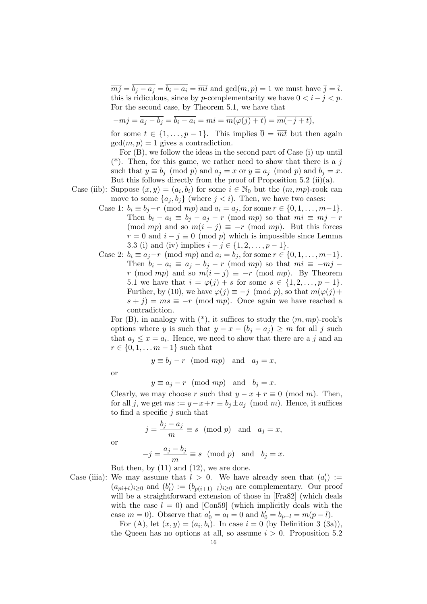$\overline{mj} = \overline{b_j - a_j} = \overline{b_i - a_i} = \overline{mi}$  and  $gcd(m, p) = 1$  we must have  $\overline{j} = \overline{i}$ . this is ridiculous, since by p-complementarity we have  $0 < i - j < p$ . For the second case, by Theorem 5.1, we have that

$$
\overline{-mj} = \overline{a_j - b_j} = \overline{b_i - a_i} = \overline{mi} = \overline{m(\varphi(j) + t)} = \overline{m(-j + t)},
$$

for some  $t \in \{1, \ldots, p-1\}$ . This implies  $\overline{0} = \overline{mt}$  but then again  $gcd(m, p) = 1$  gives a contradiction.

For (B), we follow the ideas in the second part of Case (i) up until  $(*)$ . Then, for this game, we rather need to show that there is a j such that  $y \equiv b_j \pmod{p}$  and  $a_j = x$  or  $y \equiv a_j \pmod{p}$  and  $b_j = x$ . But this follows directly from the proof of Proposition 5.2 (ii)(a).

Case (iib): Suppose  $(x, y) = (a_i, b_i)$  for some  $i \in \mathbb{N}_0$  but the  $(m, mp)$ -rook can move to some  $\{a_i, b_i\}$  (where  $j < i$ ). Then, we have two cases:

- Case 1:  $b_i \equiv b_j r \pmod{mp}$  and  $a_i = a_j$ , for some  $r \in \{0, 1, ..., m-1\}$ . Then  $b_i - a_i \equiv b_j - a_j - r \pmod{mp}$  so that  $mi \equiv mj - r$ (mod mp) and so  $m(i - j) \equiv -r \pmod{mp}$ . But this forces  $r = 0$  and  $i - j \equiv 0 \pmod{p}$  which is impossible since Lemma 3.3 (i) and (iv) implies  $i - j \in \{1, 2, ..., p - 1\}.$
- Case 2:  $b_i \equiv a_j r \pmod{mp}$  and  $a_i = b_j$ , for some  $r \in \{0, 1, ..., m-1\}$ . Then  $b_i - a_i \equiv a_j - b_j - r \pmod{mp}$  so that  $mi \equiv -mj$ r (mod mp) and so  $m(i + j) \equiv -r$  (mod mp). By Theorem 5.1 we have that  $i = \varphi(j) + s$  for some  $s \in \{1, 2, ..., p - 1\}.$ Further, by (10), we have  $\varphi(j) \equiv -j \pmod{p}$ , so that  $m(\varphi(j) +$  $s + j$ ) = ms  $\equiv -r \pmod{mp}$ . Once again we have reached a contradiction.

For  $(B)$ , in analogy with  $(*)$ , it suffices to study the  $(m, mp)$ -rook's options where y is such that  $y - x - (b_i - a_j) \geq m$  for all j such that  $a_j \leq x = a_i$ . Hence, we need to show that there are a j and an  $r \in \{0, 1, \ldots m - 1\}$  such that

 $y \equiv b_j - r \pmod{mp}$  and  $a_j = x$ ,

or

or

 $y \equiv a_j - r \pmod{mp}$  and  $b_j = x$ .

Clearly, we may choose r such that  $y - x + r \equiv 0 \pmod{m}$ . Then, for all j, we get  $ms := y - x + r \equiv b_i \pm a_i \pmod{m}$ . Hence, it suffices to find a specific  $j$  such that

$$
j = \frac{b_j - a_j}{m} \equiv s \pmod{p} \text{ and } a_j = x,
$$
  

$$
a_i - b_i
$$

$$
-j = \frac{dy - 6j}{m} \equiv s \pmod{p} \text{ and } b_j = x.
$$

But then, by  $(11)$  and  $(12)$ , we are done.

Case (iiia): We may assume that  $l > 0$ . We have already seen that  $(a'_i) :=$  $(a_{pi+l})_{i\geq 0}$  and  $(b'_i) := (b_{p(i+1)-l})_{i\geq 0}$  are complementary. Our proof will be a straightforward extension of those in [Fra82] (which deals with the case  $l = 0$ ) and [Con59] (which implicitly deals with the case  $m = 0$ ). Observe that  $a'_0 = a_l = 0$  and  $b'_0 = b_{p-l} = m(p-l)$ .

For (A), let  $(x, y) = (a_i, b_i)$ . In case  $i = 0$  (by Definition 3 (3a)), the Queen has no options at all, so assume  $i > 0$ . Proposition 5.2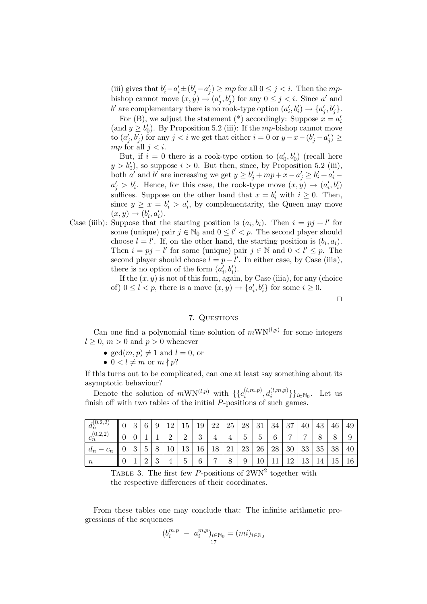(iii) gives that  $b'_i - a'_i \pm (b'_j - a'_j) \ge mp$  for all  $0 \le j < i$ . Then the mpbishop cannot move  $(x, y) \rightarrow (a'_j, b'_j)$  for any  $0 \leq j < i$ . Since a' and b' are complementary there is no rook-type option  $(a'_i, b'_i) \rightarrow \{a'_j, b'_j\}.$ 

For (B), we adjust the statement (\*) accordingly: Suppose  $x = a'_i$ (and  $y \ge b'_0$ ). By Proposition 5.2 (iii): If the mp-bishop cannot move to  $(a'_j, b'_j)$  for any  $j < i$  we get that either  $i = 0$  or  $y - x - (b'_j - a'_j) \ge$ mp for all  $j < i$ .

But, if  $i = 0$  there is a rook-type option to  $(a'_0, b'_0)$  (recall here  $y > b'_0$ , so suppose  $i > 0$ . But then, since, by Proposition 5.2 (iii), both a' and b' are increasing we get  $y \ge b'_j + mp + x - a'_j \ge b'_i + a'_i$  $a'_j > b'_i$ . Hence, for this case, the rook-type move  $(x, y) \rightarrow (a'_i, b'_i)$ suffices. Suppose on the other hand that  $x = b'_i$  with  $i \geq 0$ . Then, since  $y \ge x = b'_i > a'_i$ , by complementarity, the Queen may move  $(x, y) \rightarrow (b'_i, a'_i).$ 

Case (iiib): Suppose that the starting position is  $(a_i, b_i)$ . Then  $i = pj + l'$  for some (unique) pair  $j \in \mathbb{N}_0$  and  $0 \leq l' < p$ . The second player should choose  $l = l'$ . If, on the other hand, the starting position is  $(b_i, a_i)$ . Then  $i = pj - l'$  for some (unique) pair  $j \in \mathbb{N}$  and  $0 < l' \leq p$ . The second player should choose  $l = p - l'$ . In either case, by Case (iiia), there is no option of the form  $(a'_i, b'_i)$ .

If the  $(x, y)$  is not of this form, again, by Case (iiia), for any (choice of)  $0 \leq l < p$ , there is a move  $(x, y) \rightarrow \{a'_i, b'_i\}$  for some  $i \geq 0$ .

 $\Box$ 

# 7. QUESTIONS

Can one find a polynomial time solution of  $mWN^{(l,p)}$  for some integers  $l > 0$ ,  $m > 0$  and  $p > 0$  whenever

- $gcd(m, p) \neq 1$  and  $l = 0$ , or
- $0 < l \neq m$  or  $m \nmid p$ ?

If this turns out to be complicated, can one at least say something about its asymptotic behaviour?

Denote the solution of  $mWN^{(l,p)}$  with  $\{c_i^{(l,m,p)}\}$  $\{_{i}^{(l,m,p)},d_{i}^{(l,m,p)}\}\}_{i\in\mathbb{N}_{0}}$ . Let us finish off with two tables of the initial  $P$ -positions of such games.

| $\vert d_n^{(0,2,2)}$ | $\Omega$      | $\mathcal{C}$    | 9      | 19 | 15       | 19            | 22             | 25 | 28 | 31               | 34 | 37             | 40        | 43 | 46 | 49 |
|-----------------------|---------------|------------------|--------|----|----------|---------------|----------------|----|----|------------------|----|----------------|-----------|----|----|----|
| $ c_n^{(0,2,2)} $     |               |                  |        | ົ  | റ        | $\Omega$<br>ಀ |                |    | Ġ  | $\check{ }$<br>G | 6  | $\overline{ }$ | ⇁         |    | 8  | 9  |
| $a_n$                 | $\Omega$<br>J | $\check{ }$<br>◡ | O      | 10 | 19<br>TΘ | 16            | 18             | 21 | 23 | 26               | 28 | 30             | 33        | 35 | 38 | 40 |
| $\, n$                |               | $\Omega$         | ച<br>◡ |    | ◡        | 6             | $\overline{ }$ | 8  | 9  | $10\,$           |    | 1 ດ            | 1 2<br>ΤÛ | 14 | 45 | 16 |

TABLE 3. The first few  $P$ -positions of  $2WN^2$  together with the respective differences of their coordinates.

From these tables one may conclude that: The infinite arithmetic progressions of the sequences

$$
(b_i^{m,p} - a_i^{m,p})_{\substack{i \in \mathbb{N}_0 \\ 17}} = (mi)_{i \in \mathbb{N}_0}
$$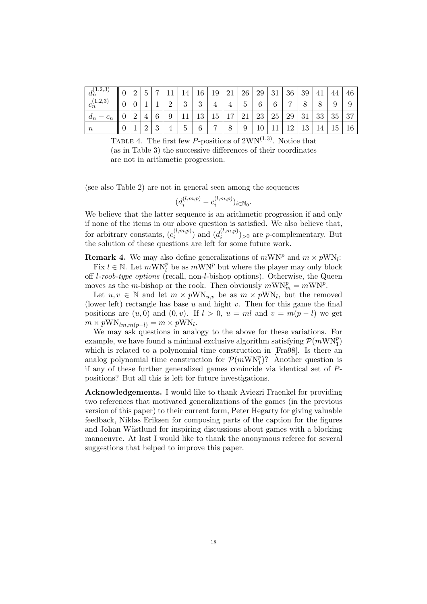| $d_n^{(1,2,3)}$  | $\overline{0}$ | $\Omega$ | 5             | $\overline{ }$ | 11       | 14            | 16            | 19             | 21 | 26 | 29 | 31 | 36             | 39 | 41 | 44 | 46        |
|------------------|----------------|----------|---------------|----------------|----------|---------------|---------------|----------------|----|----|----|----|----------------|----|----|----|-----------|
| $c_n^{(1,2,3)}$  |                |          |               |                | $\Omega$ | 2<br>◡        | $\Omega$<br>◡ |                |    | 5. | 6  | 6  | $\overline{ }$ |    |    |    | 9         |
| $d_n$            |                |          |               | 6              | 9        |               | 13            | 15             | 17 | 21 | 23 | 25 | 29             | 31 | 33 | 35 | 37        |
| $\boldsymbol{n}$ |                |          | $\Omega$<br>↵ | $\Omega$<br>◡  |          | $\mathcal{C}$ | 6             | $\overline{ }$ | 8  | 9  | 10 | 11 | 12             | 13 | 14 | 15 | $16 \mid$ |

TABLE 4. The first few P-positions of  $2WN^{(1,3)}$ . Notice that (as in Table 3) the successive differences of their coordinates are not in arithmetic progression.

(see also Table 2) are not in general seen among the sequences

$$
(d_i^{(l,m,p)} - c_i^{(l,m,p)})_{i \in \mathbb{N}_0}.
$$

We believe that the latter sequence is an arithmetic progression if and only if none of the items in our above question is satisfied. We also believe that, for arbitrary constants,  $(c_i^{(l,m,p)}$  $\binom{(l,m,p)}{i}$  and  $\binom{(l,m,p)}{i}$  $\binom{(i,m,p)}{i}$  or are *p*-complementary. But the solution of these questions are left for some future work.

**Remark 4.** We may also define generalizations of  $mWN^p$  and  $m \times pWN_i$ :

Fix  $l \in \mathbb{N}$ . Let  $m\text{WN}_l^p$  be as  $m\text{WN}^p$  but where the player may only block off l-roob-type options (recall, non-l-bishop options). Otherwise, the Queen moves as the m-bishop or the rook. Then obviously  $mWN_m^p = mWN^p$ .

Let  $u, v \in \mathbb{N}$  and let  $m \times pWN_{u,v}$  be as  $m \times pWN_l$ , but the removed (lower left) rectangle has base  $u$  and hight  $v$ . Then for this game the final positions are  $(u, 0)$  and  $(0, v)$ . If  $l > 0$ ,  $u = ml$  and  $v = m(p - l)$  we get  $m \times pWN_{lm,m(p-l)} = m \times pWN_l.$ 

We may ask questions in analogy to the above for these variations. For example, we have found a minimal exclusive algorithm satisfying  $\mathcal{P}(m\text{WN}_1^p)$ which is related to a polynomial time construction in [Fra98]. Is there an analog polynomial time construction for  $\mathcal{P}(m\text{WN}_1^p)$ ? Another question is if any of these further generalized games conincide via identical set of Ppositions? But all this is left for future investigations.

Acknowledgements. I would like to thank Aviezri Fraenkel for providing two references that motivated generalizations of the games (in the previous version of this paper) to their current form, Peter Hegarty for giving valuable feedback, Niklas Eriksen for composing parts of the caption for the figures and Johan Wästlund for inspiring discussions about games with a blocking manoeuvre. At last I would like to thank the anonymous referee for several suggestions that helped to improve this paper.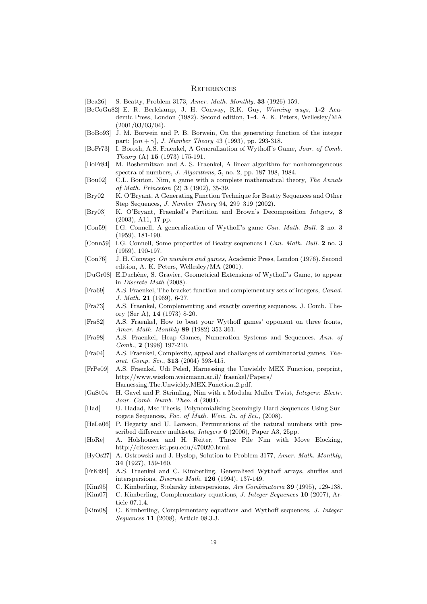#### **REFERENCES**

[Bea26] S. Beatty, Problem 3173, Amer. Math. Monthly, 33 (1926) 159.

- [BeCoGu82] E. R. Berlekamp, J. H. Conway, R.K. Guy, Winning ways, 1-2 Academic Press, London (1982). Second edition, 1-4. A. K. Peters, Wellesley/MA (2001/03/03/04).
- [BoBo93] J. M. Borwein and P. B. Borwein, On the generating function of the integer part:  $[\alpha n + \gamma]$ , *J. Number Theory* 43 (1993), pp. 293-318.
- [BoFr73] I. Borosh, A.S. Fraenkel, A Generalization of Wythoff's Game, Jour. of Comb. Theory (A) 15 (1973) 175-191.
- [BoFr84] M. Boshernitzan and A. S. Fraenkel, A linear algorithm for nonhomogeneous spectra of numbers, *J. Algorithms*, **5**, no. 2, pp. 187-198, 1984.
- [Bou02] C.L. Bouton, Nim, a game with a complete mathematical theory, The Annals of Math. Princeton (2) 3 (1902), 35-39.
- [Bry02] K. O'Bryant, A Generating Function Technique for Beatty Sequences and Other Step Sequences, J. Number Theory 94, 299–319 (2002).
- [Bry03] K. O'Bryant, Fraenkel's Partition and Brown's Decomposition Integers, 3 (2003), A11, 17 pp.
- [Con59] I.G. Connell, A generalization of Wythoff's game Can. Math. Bull. 2 no. 3 (1959), 181-190.
- [Conn59] I.G. Connell, Some properties of Beatty sequences I Can. Math. Bull. 2 no. 3 (1959), 190-197.
- [Con76] J. H. Conway: On numbers and games, Academic Press, London (1976). Second edition, A. K. Peters, Wellesley/MA (2001).
- [DuGr08] E.Duchêne, S. Gravier, Geometrical Extensions of Wythoff's Game, to appear in Discrete Math (2008).
- [Fra69] A.S. Fraenkel, The bracket function and complementary sets of integers, Canad. J. Math. 21 (1969), 6-27.
- [Fra73] A.S. Fraenkel, Complementing and exactly covering sequences, J. Comb. Theory (Ser A), 14 (1973) 8-20.
- [Fra82] A.S. Fraenkel, How to beat your Wythoff games' opponent on three fronts, Amer. Math. Monthly 89 (1982) 353-361.
- [Fra98] A.S. Fraenkel, Heap Games, Numeration Systems and Sequences. Ann. of Comb., 2 (1998) 197-210.
- [Fra04] A.S. Fraenkel, Complexity, appeal and challanges of combinatorial games. Theoret. Comp. Sci., 313 (2004) 393-415.
- [FrPe09] A.S. Fraenkel, Udi Peled, Harnessing the Unwieldy MEX Function, preprint, http://www.wisdom.weizmann.ac.il/ fraenkel/Papers/ Harnessing.The.Unwieldy.MEX.Function 2.pdf.
- [GaSt04] H. Gavel and P. Strimling, Nim with a Modular Muller Twist, Integers: Electr. Jour. Comb. Numb. Theo. 4 (2004).
- [Had] U. Hadad, Msc Thesis, Polynomializing Seemingly Hard Sequences Using Surrogate Sequences, Fac. of Math. Weiz. In. of Sci., (2008).
- [HeLa06] P. Hegarty and U. Larsson, Permutations of the natural numbers with prescribed difference multisets, *Integers* **6** (2006), Paper A3, 25pp.
- [HoRe] A. Holshouser and H. Reiter, Three Pile Nim with Move Blocking, http://citeseer.ist.psu.edu/470020.html.
- [HyOs27] A. Ostrowski and J. Hyslop, Solution to Problem 3177, Amer. Math. Monthly, 34 (1927), 159-160.
- [FrKi94] A.S. Fraenkel and C. Kimberling, Generalised Wythoff arrays, shuffles and interspersions, Discrete Math. 126 (1994), 137-149.
- [Kim95] C. Kimberling, Stolarsky interspersions, Ars Combinatoria 39 (1995), 129-138.
- [Kim07] C. Kimberling, Complementary equations, *J. Integer Sequences* 10 (2007), Article 07.1.4.
- [Kim08] C. Kimberling, Complementary equations and Wythoff sequences, J. Integer Sequences 11 (2008), Article 08.3.3.